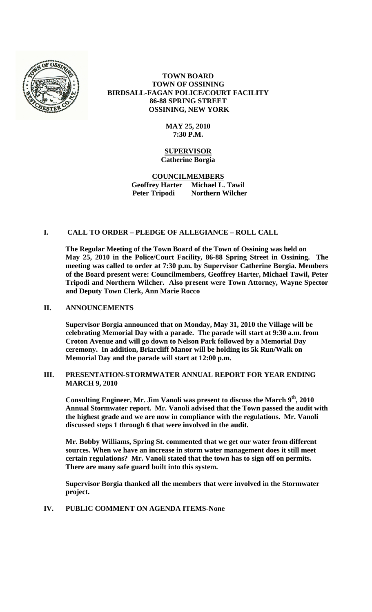

# **TOWN BOARD TOWN OF OSSINING BIRDSALL-FAGAN POLICE/COURT FACILITY 86-88 SPRING STREET OSSINING, NEW YORK**

#### **MAY 25, 2010 7:30 P.M.**

#### **SUPERVISOR Catherine Borgia**

**COUNCILMEMBERS Geoffrey Harter Michael L. Tawil Peter Tripodi Northern Wilcher**

# **I. CALL TO ORDER – PLEDGE OF ALLEGIANCE – ROLL CALL**

**The Regular Meeting of the Town Board of the Town of Ossining was held on May 25, 2010 in the Police/Court Facility, 86-88 Spring Street in Ossining. The meeting was called to order at 7:30 p.m. by Supervisor Catherine Borgia. Members of the Board present were: Councilmembers, Geoffrey Harter, Michael Tawil, Peter Tripodi and Northern Wilcher. Also present were Town Attorney, Wayne Spector and Deputy Town Clerk, Ann Marie Rocco**

#### **II. ANNOUNCEMENTS**

**Supervisor Borgia announced that on Monday, May 31, 2010 the Village will be celebrating Memorial Day with a parade. The parade will start at 9:30 a.m. from Croton Avenue and will go down to Nelson Park followed by a Memorial Day ceremony. In addition, Briarcliff Manor will be holding its 5k Run/Walk on Memorial Day and the parade will start at 12:00 p.m.** 

### **III. PRESENTATION-STORMWATER ANNUAL REPORT FOR YEAR ENDING MARCH 9, 2010**

Consulting Engineer, Mr. Jim Vanoli was present to discuss the March 9<sup>th</sup>, 2010 **Annual Stormwater report. Mr. Vanoli advised that the Town passed the audit with the highest grade and we are now in compliance with the regulations. Mr. Vanoli discussed steps 1 through 6 that were involved in the audit.**

**Mr. Bobby Williams, Spring St. commented that we get our water from different sources. When we have an increase in storm water management does it still meet certain regulations? Mr. Vanoli stated that the town has to sign off on permits. There are many safe guard built into this system.**

**Supervisor Borgia thanked all the members that were involved in the Stormwater project.** 

# **IV. PUBLIC COMMENT ON AGENDA ITEMS-None**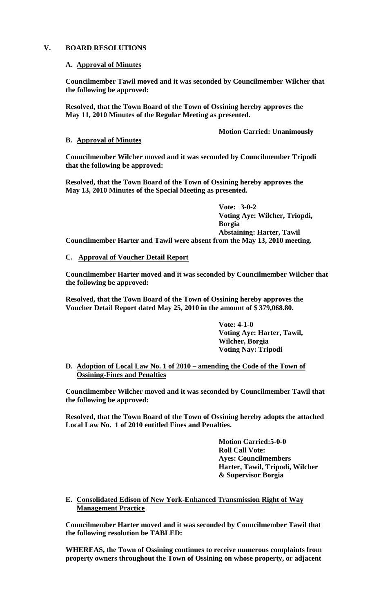### **V. BOARD RESOLUTIONS**

### **A. Approval of Minutes**

**Councilmember Tawil moved and it was seconded by Councilmember Wilcher that the following be approved:**

**Resolved, that the Town Board of the Town of Ossining hereby approves the May 11, 2010 Minutes of the Regular Meeting as presented.**

**Motion Carried: Unanimously**

# **B. Approval of Minutes**

**Councilmember Wilcher moved and it was seconded by Councilmember Tripodi that the following be approved:**

**Resolved, that the Town Board of the Town of Ossining hereby approves the May 13, 2010 Minutes of the Special Meeting as presented.**

**Vote: 3-0-2 Voting Aye: Wilcher, Triopdi, Borgia Abstaining: Harter, Tawil Councilmember Harter and Tawil were absent from the May 13, 2010 meeting.**

# **C. Approval of Voucher Detail Report**

**Councilmember Harter moved and it was seconded by Councilmember Wilcher that the following be approved:**

**Resolved, that the Town Board of the Town of Ossining hereby approves the Voucher Detail Report dated May 25, 2010 in the amount of \$ 379,068.80.**

> **Vote: 4-1-0 Voting Aye: Harter, Tawil, Wilcher, Borgia Voting Nay: Tripodi**

**D. Adoption of Local Law No. 1 of 2010 – amending the Code of the Town of Ossining-Fines and Penalties**

**Councilmember Wilcher moved and it was seconded by Councilmember Tawil that the following be approved:**

**Resolved, that the Town Board of the Town of Ossining hereby adopts the attached Local Law No. 1 of 2010 entitled Fines and Penalties.**

> **Motion Carried:5-0-0 Roll Call Vote: Ayes: Councilmembers Harter, Tawil, Tripodi, Wilcher & Supervisor Borgia**

**E. Consolidated Edison of New York-Enhanced Transmission Right of Way Management Practice**

**Councilmember Harter moved and it was seconded by Councilmember Tawil that the following resolution be TABLED:**

**WHEREAS, the Town of Ossining continues to receive numerous complaints from property owners throughout the Town of Ossining on whose property, or adjacent**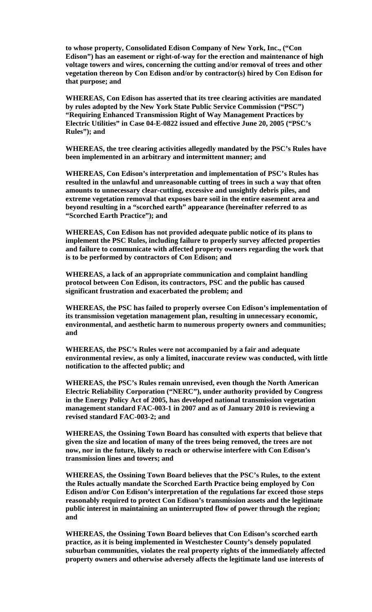**to whose property, Consolidated Edison Company of New York, Inc., ("Con Edison") has an easement or right-of-way for the erection and maintenance of high voltage towers and wires, concerning the cutting and/or removal of trees and other vegetation thereon by Con Edison and/or by contractor(s) hired by Con Edison for that purpose; and**

**WHEREAS, Con Edison has asserted that its tree clearing activities are mandated by rules adopted by the New York State Public Service Commission ("PSC") "Requiring Enhanced Transmission Right of Way Management Practices by Electric Utilities" in Case 04-E-0822 issued and effective June 20, 2005 ("PSC's Rules"); and** 

**WHEREAS, the tree clearing activities allegedly mandated by the PSC's Rules have been implemented in an arbitrary and intermittent manner; and** 

**WHEREAS, Con Edison's interpretation and implementation of PSC's Rules has resulted in the unlawful and unreasonable cutting of trees in such a way that often amounts to unnecessary clear-cutting, excessive and unsightly debris piles, and extreme vegetation removal that exposes bare soil in the entire easement area and beyond resulting in a "scorched earth" appearance (hereinafter referred to as "Scorched Earth Practice"); and**

**WHEREAS, Con Edison has not provided adequate public notice of its plans to implement the PSC Rules, including failure to properly survey affected properties and failure to communicate with affected property owners regarding the work that is to be performed by contractors of Con Edison; and** 

**WHEREAS, a lack of an appropriate communication and complaint handling protocol between Con Edison, its contractors, PSC and the public has caused significant frustration and exacerbated the problem; and**

**WHEREAS, the PSC has failed to properly oversee Con Edison's implementation of its transmission vegetation management plan, resulting in unnecessary economic, environmental, and aesthetic harm to numerous property owners and communities; and**

**WHEREAS, the PSC's Rules were not accompanied by a fair and adequate environmental review, as only a limited, inaccurate review was conducted, with little notification to the affected public; and**

**WHEREAS, the PSC's Rules remain unrevised, even though the North American Electric Reliability Corporation ("NERC"), under authority provided by Congress in the Energy Policy Act of 2005, has developed national transmission vegetation management standard FAC-003-1 in 2007 and as of January 2010 is reviewing a revised standard FAC-003-2; and**

**WHEREAS, the Ossining Town Board has consulted with experts that believe that given the size and location of many of the trees being removed, the trees are not now, nor in the future, likely to reach or otherwise interfere with Con Edison's transmission lines and towers; and**

**WHEREAS, the Ossining Town Board believes that the PSC's Rules, to the extent the Rules actually mandate the Scorched Earth Practice being employed by Con Edison and/or Con Edison's interpretation of the regulations far exceed those steps reasonably required to protect Con Edison's transmission assets and the legitimate public interest in maintaining an uninterrupted flow of power through the region; and**

**WHEREAS, the Ossining Town Board believes that Con Edison's scorched earth practice, as it is being implemented in Westchester County's densely populated suburban communities, violates the real property rights of the immediately affected property owners and otherwise adversely affects the legitimate land use interests of**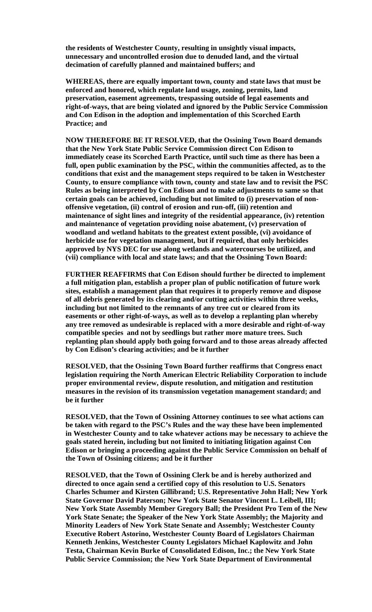**the residents of Westchester County, resulting in unsightly visual impacts, unnecessary and uncontrolled erosion due to denuded land, and the virtual decimation of carefully planned and maintained buffers; and** 

**WHEREAS, there are equally important town, county and state laws that must be enforced and honored, which regulate land usage, zoning, permits, land preservation, easement agreements, trespassing outside of legal easements and right-of-ways, that are being violated and ignored by the Public Service Commission and Con Edison in the adoption and implementation of this Scorched Earth Practice; and**

**NOW THEREFORE BE IT RESOLVED, that the Ossining Town Board demands that the New York State Public Service Commission direct Con Edison to immediately cease its Scorched Earth Practice, until such time as there has been a full, open public examination by the PSC, within the communities affected, as to the conditions that exist and the management steps required to be taken in Westchester County, to ensure compliance with town, county and state law and to revisit the PSC Rules as being interpreted by Con Edison and to make adjustments to same so that certain goals can be achieved, including but not limited to (i) preservation of nonoffensive vegetation, (ii) control of erosion and run-off, (iii) retention and maintenance of sight lines and integrity of the residential appearance, (iv) retention and maintenance of vegetation providing noise abatement, (v) preservation of woodland and wetland habitats to the greatest extent possible, (vi) avoidance of herbicide use for vegetation management, but if required, that only herbicides approved by NYS DEC for use along wetlands and watercourses be utilized, and (vii) compliance with local and state laws; and that the Ossining Town Board:**

**FURTHER REAFFIRMS that Con Edison should further be directed to implement a full mitigation plan, establish a proper plan of public notification of future work sites, establish a management plan that requires it to properly remove and dispose of all debris generated by its clearing and/or cutting activities within three weeks, including but not limited to the remnants of any tree cut or cleared from its easements or other right-of-ways, as well as to develop a replanting plan whereby any tree removed as undesirable is replaced with a more desirable and right-of-way compatible species and not by seedlings but rather more mature trees. Such replanting plan should apply both going forward and to those areas already affected by Con Edison's clearing activities; and be it further**

**RESOLVED, that the Ossining Town Board further reaffirms that Congress enact legislation requiring the North American Electric Reliability Corporation to include proper environmental review, dispute resolution, and mitigation and restitution measures in the revision of its transmission vegetation management standard; and be it further**

**RESOLVED, that the Town of Ossining Attorney continues to see what actions can be taken with regard to the PSC's Rules and the way these have been implemented in Westchester County and to take whatever actions may be necessary to achieve the goals stated herein, including but not limited to initiating litigation against Con Edison or bringing a proceeding against the Public Service Commission on behalf of the Town of Ossining citizens; and be it further**

**RESOLVED, that the Town of Ossining Clerk be and is hereby authorized and directed to once again send a certified copy of this resolution to U.S. Senators Charles Schumer and Kirsten Gillibrand; U.S. Representative John Hall; New York State Governor David Paterson; New York State Senator Vincent L. Leibell, III; New York State Assembly Member Gregory Ball; the President Pro Tem of the New York State Senate; the Speaker of the New York State Assembly; the Majority and Minority Leaders of New York State Senate and Assembly; Westchester County Executive Robert Astorino, Westchester County Board of Legislators Chairman Kenneth Jenkins, Westchester County Legislators Michael Kaplowitz and John Testa, Chairman Kevin Burke of Consolidated Edison, Inc.; the New York State Public Service Commission; the New York State Department of Environmental**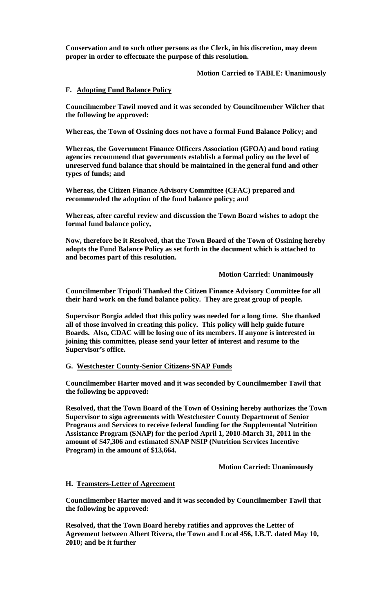**Conservation and to such other persons as the Clerk, in his discretion, may deem proper in order to effectuate the purpose of this resolution.**

### **Motion Carried to TABLE: Unanimously**

### **F. Adopting Fund Balance Policy**

**Councilmember Tawil moved and it was seconded by Councilmember Wilcher that the following be approved:**

**Whereas, the Town of Ossining does not have a formal Fund Balance Policy; and**

**Whereas, the Government Finance Officers Association (GFOA) and bond rating agencies recommend that governments establish a formal policy on the level of unreserved fund balance that should be maintained in the general fund and other types of funds; and**

**Whereas, the Citizen Finance Advisory Committee (CFAC) prepared and recommended the adoption of the fund balance policy; and**

**Whereas, after careful review and discussion the Town Board wishes to adopt the formal fund balance policy,**

**Now, therefore be it Resolved, that the Town Board of the Town of Ossining hereby adopts the Fund Balance Policy as set forth in the document which is attached to and becomes part of this resolution.**

**Motion Carried: Unanimously**

**Councilmember Tripodi Thanked the Citizen Finance Advisory Committee for all their hard work on the fund balance policy. They are great group of people.**

**Supervisor Borgia added that this policy was needed for a long time. She thanked all of those involved in creating this policy. This policy will help guide future Boards. Also, CDAC will be losing one of its members. If anyone is interested in joining this committee, please send your letter of interest and resume to the Supervisor's office.**

### **G. Westchester County-Senior Citizens-SNAP Funds**

**Councilmember Harter moved and it was seconded by Councilmember Tawil that the following be approved:**

**Resolved, that the Town Board of the Town of Ossining hereby authorizes the Town Supervisor to sign agreements with Westchester County Department of Senior Programs and Services to receive federal funding for the Supplemental Nutrition Assistance Program (SNAP) for the period April 1, 2010-March 31, 2011 in the amount of \$47,306 and estimated SNAP NSIP (Nutrition Services Incentive Program) in the amount of \$13,664.**

**Motion Carried: Unanimously**

# **H. Teamsters-Letter of Agreement**

**Councilmember Harter moved and it was seconded by Councilmember Tawil that the following be approved:**

**Resolved, that the Town Board hereby ratifies and approves the Letter of Agreement between Albert Rivera, the Town and Local 456, I.B.T. dated May 10, 2010; and be it further**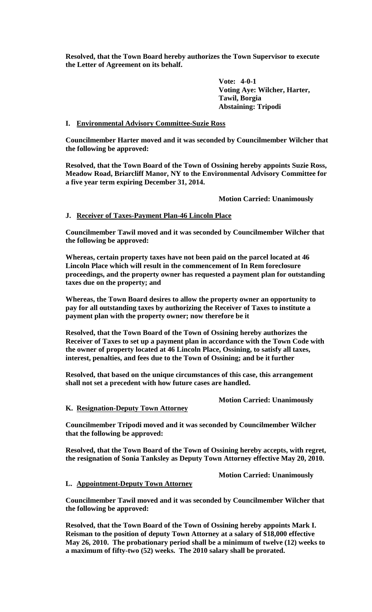**Resolved, that the Town Board hereby authorizes the Town Supervisor to execute the Letter of Agreement on its behalf.**

> **Vote: 4-0-1 Voting Aye: Wilcher, Harter, Tawil, Borgia Abstaining: Tripodi**

# **I. Environmental Advisory Committee-Suzie Ross**

**Councilmember Harter moved and it was seconded by Councilmember Wilcher that the following be approved:**

**Resolved, that the Town Board of the Town of Ossining hereby appoints Suzie Ross, Meadow Road, Briarcliff Manor, NY to the Environmental Advisory Committee for a five year term expiring December 31, 2014.**

### **Motion Carried: Unanimously**

# **J. Receiver of Taxes-Payment Plan-46 Lincoln Place**

**Councilmember Tawil moved and it was seconded by Councilmember Wilcher that the following be approved:**

**Whereas, certain property taxes have not been paid on the parcel located at 46 Lincoln Place which will result in the commencement of In Rem foreclosure proceedings, and the property owner has requested a payment plan for outstanding taxes due on the property; and**

**Whereas, the Town Board desires to allow the property owner an opportunity to pay for all outstanding taxes by authorizing the Receiver of Taxes to institute a payment plan with the property owner; now therefore be it**

**Resolved, that the Town Board of the Town of Ossining hereby authorizes the Receiver of Taxes to set up a payment plan in accordance with the Town Code with the owner of property located at 46 Lincoln Place, Ossining, to satisfy all taxes, interest, penalties, and fees due to the Town of Ossining; and be it further**

**Resolved, that based on the unique circumstances of this case, this arrangement shall not set a precedent with how future cases are handled.** 

**Motion Carried: Unanimously**

**K. Resignation-Deputy Town Attorney**

**Councilmember Tripodi moved and it was seconded by Councilmember Wilcher that the following be approved:**

**Resolved, that the Town Board of the Town of Ossining hereby accepts, with regret, the resignation of Sonia Tanksley as Deputy Town Attorney effective May 20, 2010.**

**Motion Carried: Unanimously**

**L. Appointment-Deputy Town Attorney**

**Councilmember Tawil moved and it was seconded by Councilmember Wilcher that the following be approved:**

**Resolved, that the Town Board of the Town of Ossining hereby appoints Mark I. Reisman to the position of deputy Town Attorney at a salary of \$18,000 effective May 26, 2010. The probationary period shall be a minimum of twelve (12) weeks to a maximum of fifty-two (52) weeks. The 2010 salary shall be prorated.**